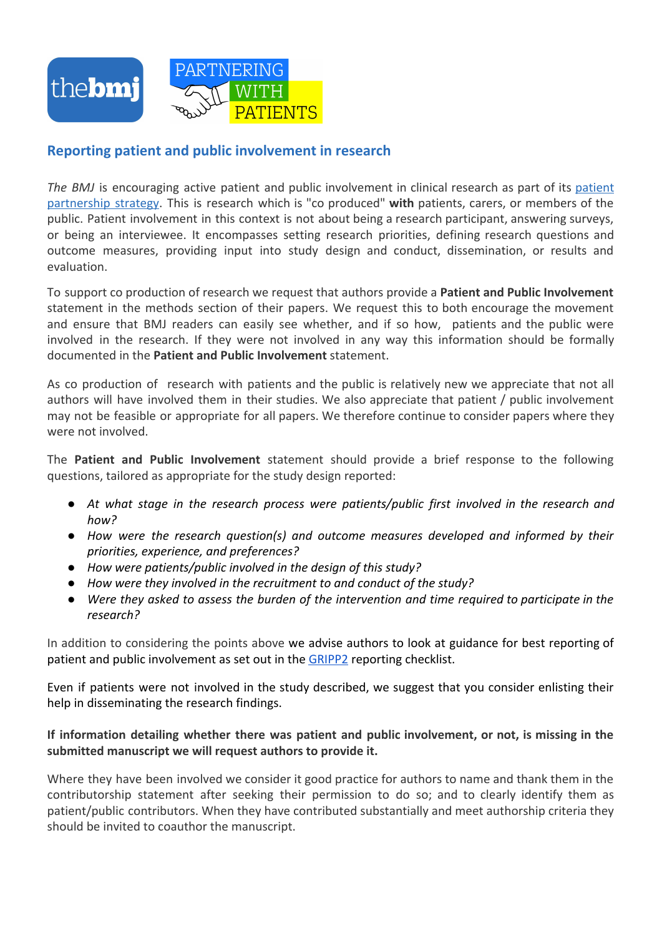

## **Reporting patient and public involvement in research**

*The BMJ* is encouraging active patient and public involvement in clinical research as part of its [patient](http://www.bmj.com/campaign/patient-partnership) [partnership](http://www.bmj.com/campaign/patient-partnership) strategy. This is research which is "co produced" **with** patients, carers, or members of the public. Patient involvement in this context is not about being a research participant, answering surveys, or being an interviewee. It encompasses setting research priorities, defining research questions and outcome measures, providing input into study design and conduct, dissemination, or results and evaluation.

To support co production of research we request that authors provide a **Patient and Public Involvement** statement in the methods section of their papers. We request this to both encourage the movement and ensure that BMJ readers can easily see whether, and if so how, patients and the public were involved in the research. If they were not involved in any way this information should be formally documented in the **Patient and Public Involvement** statement.

As co production of research with patients and the public is relatively new we appreciate that not all authors will have involved them in their studies. We also appreciate that patient / public involvement may not be feasible or appropriate for all papers. We therefore continue to consider papers where they were not involved.

The **Patient and Public Involvement** statement should provide a brief response to the following questions, tailored as appropriate for the study design reported:

- *● At what stage in the research process were patients/public first involved in the research and how?*
- *● How were the research question(s) and outcome measures developed and informed by their priorities, experience, and preferences?*
- *● How were patients/public involved in the design of this study?*
- *● How were they involved in the recruitment to and conduct of the study?*
- *● Were they asked to assess the burden of the intervention and time required to participate in the research?*

In addition to considering the points above we advise authors to look at guidance for best reporting of patient and public involvement as set out in the [GRIPP2](http://www.bmj.com/content/358/bmj.j3453) reporting checklist.

Even if patients were not involved in the study described, we suggest that you consider enlisting their help in disseminating the research findings.

## **If information detailing whether there was patient and public involvement, or not, is missing in the submitted manuscript we will request authors to provide it.**

Where they have been involved we consider it good practice for authors to name and thank them in the contributorship statement after seeking their permission to do so; and to clearly identify them as patient/public contributors. When they have contributed substantially and meet authorship criteria they should be invited to coauthor the manuscript.